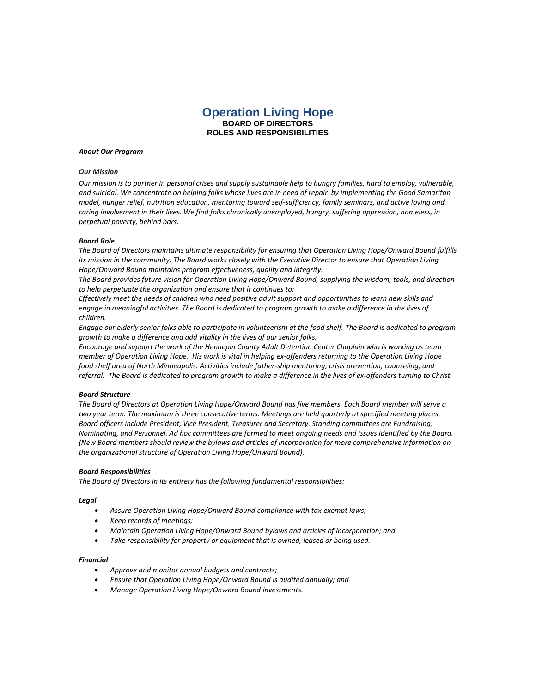# **Operation Living Hope BOARD OF DIRECTORS ROLES AND RESPONSIBILITIES**

## *About Our Program*

# *Our Mission*

*Our mission is to partner in personal crises and supply sustainable help to hungry families, hard to employ, vulnerable, and suicidal. We concentrate on helping folks whose lives are in need of repair by implementing the Good Samaritan model, hunger relief, nutrition education, mentoring toward self-sufficiency, family seminars, and active loving and caring involvement in their lives. We find folks chronically unemployed, hungry, suffering oppression, homeless, in perpetual poverty, behind bars.*

# *Board Role*

*The Board of Directors maintains ultimate responsibility for ensuring that Operation Living Hope/Onward Bound fulfills its mission in the community. The Board works closely with the Executive Director to ensure that Operation Living Hope/Onward Bound maintains program effectiveness, quality and integrity.*

*The Board provides future vision for Operation Living Hope/Onward Bound, supplying the wisdom, tools, and direction to help perpetuate the organization and ensure that it continues to:*

*Effectively meet the needs of children who need positive adult support and opportunities to learn new skills and*  engage in meaningful activities. The Board is dedicated to program growth to make a difference in the lives of *children.*

*Engage our elderly senior folks able to participate in volunteerism at the food shelf. The Board is dedicated to program growth to make a difference and add vitality in the lives of our senior folks.*

*Encourage and support the work of the Hennepin County Adult Detention Center Chaplain who is working as team member of Operation Living Hope. His work is vital in helping ex-offenders returning to the Operation Living Hope food shelf area of North Minneapolis. Activities include father-ship mentoring, crisis prevention, counseling, and referral. The Board is dedicated to program growth to make a difference in the lives of ex-offenders turning to Christ.*

## *Board Structure*

*The Board of Directors at Operation Living Hope/Onward Bound has five members. Each Board member will serve a two year term. The maximum is three consecutive terms. Meetings are held quarterly at specified meeting places. Board officers include President, Vice President, Treasurer and Secretary. Standing committees are Fundraising, Nominating, and Personnel. Ad hoc committees are formed to meet ongoing needs and issues identified by the Board. (New Board members should review the bylaws and articles of incorporation for more comprehensive information on the organizational structure of Operation Living Hope/Onward Bound).*

## *Board Responsibilities*

*The Board of Directors in its entirety has the following fundamental responsibilities:*

#### *Legal*

- *Assure Operation Living Hope/Onward Bound compliance with tax-exempt laws;*
- *Keep records of meetings;*
- *Maintain Operation Living Hope/Onward Bound bylaws and articles of incorporation; and*
- *Take responsibility for property or equipment that is owned, leased or being used.*

# *Financial*

- *Approve and monitor annual budgets and contracts;*
- *Ensure that Operation Living Hope/Onward Bound is audited annually; and*
- *Manage Operation Living Hope/Onward Bound investments.*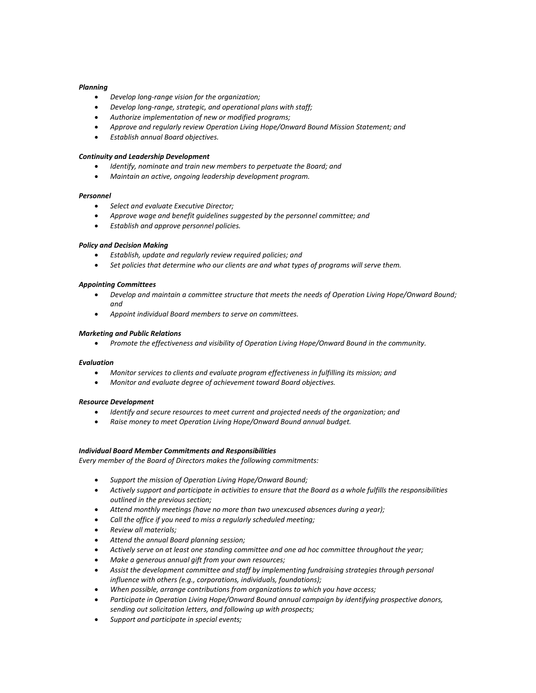# *Planning*

- *Develop long-range vision for the organization;*
- *Develop long-range, strategic, and operational plans with staff;*
- *Authorize implementation of new or modified programs;*
- *Approve and regularly review Operation Living Hope/Onward Bound Mission Statement; and*
- *Establish annual Board objectives.*

# *Continuity and Leadership Development*

- *Identify, nominate and train new members to perpetuate the Board; and*
- *Maintain an active, ongoing leadership development program.*

# *Personnel*

- *Select and evaluate Executive Director;*
- *Approve wage and benefit guidelines suggested by the personnel committee; and*
- *Establish and approve personnel policies.*

# *Policy and Decision Making*

- *Establish, update and regularly review required policies; and*
- *Set policies that determine who our clients are and what types of programs will serve them.*

# *Appointing Committees*

- *Develop and maintain a committee structure that meets the needs of Operation Living Hope/Onward Bound; and*
- *Appoint individual Board members to serve on committees.*

## *Marketing and Public Relations*

*Promote the effectiveness and visibility of Operation Living Hope/Onward Bound in the community.*

## *Evaluation*

- *Monitor services to clients and evaluate program effectiveness in fulfilling its mission; and*
- *Monitor and evaluate degree of achievement toward Board objectives.*

## *Resource Development*

- *Identify and secure resources to meet current and projected needs of the organization; and*
- *Raise money to meet Operation Living Hope/Onward Bound annual budget.*

## *Individual Board Member Commitments and Responsibilities*

*Every member of the Board of Directors makes the following commitments:*

- *Support the mission of Operation Living Hope/Onward Bound;*
- *Actively support and participate in activities to ensure that the Board as a whole fulfills the responsibilities outlined in the previous section;*
- *Attend monthly meetings (have no more than two unexcused absences during a year);*
- *Call the office if you need to miss a regularly scheduled meeting;*
- *Review all materials;*
- *Attend the annual Board planning session;*
- *Actively serve on at least one standing committee and one ad hoc committee throughout the year;*
- *Make a generous annual gift from your own resources;*
- *Assist the development committee and staff by implementing fundraising strategies through personal influence with others (e.g., corporations, individuals, foundations);*
- *When possible, arrange contributions from organizations to which you have access;*
- *Participate in Operation Living Hope/Onward Bound annual campaign by identifying prospective donors, sending out solicitation letters, and following up with prospects;*
- *Support and participate in special events;*